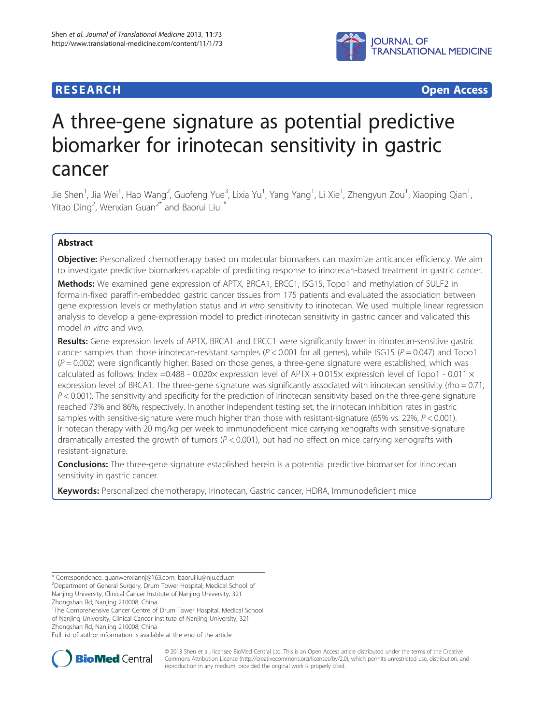## **RESEARCH RESEARCH** *CHECKER CHECKER CHECKER CHECKER CHECKER CHECKER CHECKER CHECKER CHECKER CHECKER CHECKER*



# A three-gene signature as potential predictive biomarker for irinotecan sensitivity in gastric cancer

Jie Shen<sup>1</sup>, Jia Wei<sup>1</sup>, Hao Wang<sup>2</sup>, Guofeng Yue<sup>3</sup>, Lixia Yu<sup>1</sup>, Yang Yang<sup>1</sup>, Li Xie<sup>1</sup>, Zhengyun Zou<sup>1</sup>, Xiaoping Qian<sup>1</sup> , Yitao Ding<sup>2</sup>, Wenxian Guan<sup>2\*</sup> and Baorui Liu<sup>1\*</sup>

## Abstract

**Objective:** Personalized chemotherapy based on molecular biomarkers can maximize anticancer efficiency. We aim to investigate predictive biomarkers capable of predicting response to irinotecan-based treatment in gastric cancer.

Methods: We examined gene expression of APTX, BRCA1, ERCC1, ISG15, Topo1 and methylation of SULF2 in formalin-fixed paraffin-embedded gastric cancer tissues from 175 patients and evaluated the association between gene expression levels or methylation status and in vitro sensitivity to irinotecan. We used multiple linear regression analysis to develop a gene-expression model to predict irinotecan sensitivity in gastric cancer and validated this model in vitro and vivo.

Results: Gene expression levels of APTX, BRCA1 and ERCC1 were significantly lower in irinotecan-sensitive gastric cancer samples than those irinotecan-resistant samples ( $P < 0.001$  for all genes), while ISG15 ( $P = 0.047$ ) and Topo1  $(P = 0.002)$  were significantly higher. Based on those genes, a three-gene signature were established, which was calculated as follows: Index =0.488 - 0.020 $\times$  expression level of APTX + 0.015 $\times$  expression level of Topo1 - 0.011 $\times$ expression level of BRCA1. The three-gene signature was significantly associated with irinotecan sensitivity (rho = 0.71,  $P < 0.001$ ). The sensitivity and specificity for the prediction of irinotecan sensitivity based on the three-gene signature reached 73% and 86%, respectively. In another independent testing set, the irinotecan inhibition rates in gastric samples with sensitive-signature were much higher than those with resistant-signature (65% vs. 22%,  $P < 0.001$ ). Irinotecan therapy with 20 mg/kg per week to immunodeficient mice carrying xenografts with sensitive-signature dramatically arrested the growth of tumors ( $P < 0.001$ ), but had no effect on mice carrying xenografts with resistant-signature.

**Conclusions:** The three-gene signature established herein is a potential predictive biomarker for irinotecan sensitivity in gastric cancer.

Keywords: Personalized chemotherapy, Irinotecan, Gastric cancer, HDRA, Immunodeficient mice

<sup>1</sup>The Comprehensive Cancer Centre of Drum Tower Hospital, Medical School of Nanjing University, Clinical Cancer Institute of Nanjing University, 321 Zhongshan Rd, Nanjing 210008, China

Full list of author information is available at the end of the article



© 2013 Shen et al.; licensee BioMed Central Ltd. This is an Open Access article distributed under the terms of the Creative Commons Attribution License [\(http://creativecommons.org/licenses/by/2.0\)](http://creativecommons.org/licenses/by/2.0), which permits unrestricted use, distribution, and reproduction in any medium, provided the original work is properly cited.

<sup>\*</sup> Correspondence: guanwenxiannj@163.com; baoruiliu@nju.edu.cn 2 Department of General Surgery, Drum Tower Hospital, Medical School of Nanjing University, Clinical Cancer Institute of Nanjing University, 321 Zhongshan Rd, Nanjing 210008, China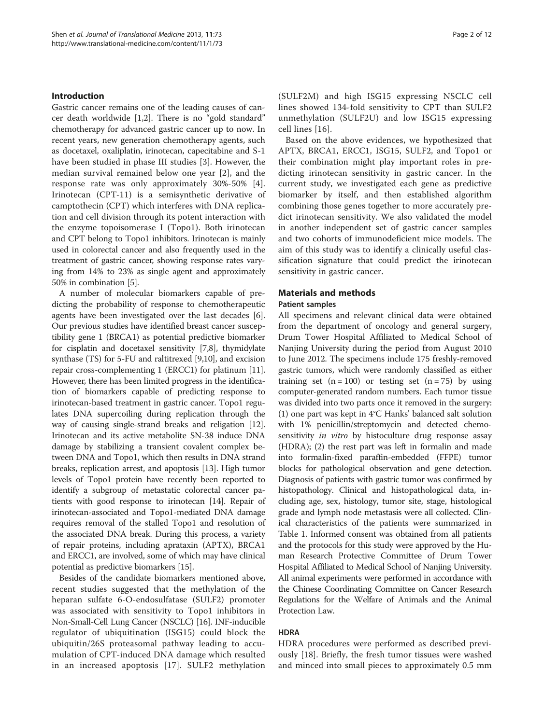### Introduction

Gastric cancer remains one of the leading causes of cancer death worldwide [\[1,2](#page-10-0)]. There is no "gold standard" chemotherapy for advanced gastric cancer up to now. In recent years, new generation chemotherapy agents, such as docetaxel, oxaliplatin, irinotecan, capecitabine and S-1 have been studied in phase III studies [[3\]](#page-10-0). However, the median survival remained below one year [\[2](#page-10-0)], and the response rate was only approximately 30%-50% [[4](#page-10-0)]. Irinotecan (CPT-11) is a semisynthetic derivative of camptothecin (CPT) which interferes with DNA replication and cell division through its potent interaction with the enzyme topoisomerase I (Topo1). Both irinotecan and CPT belong to Topo1 inhibitors. Irinotecan is mainly used in colorectal cancer and also frequently used in the treatment of gastric cancer, showing response rates varying from 14% to 23% as single agent and approximately 50% in combination [\[5](#page-10-0)].

A number of molecular biomarkers capable of predicting the probability of response to chemotherapeutic agents have been investigated over the last decades [\[6](#page-10-0)]. Our previous studies have identified breast cancer susceptibility gene 1 (BRCA1) as potential predictive biomarker for cisplatin and docetaxel sensitivity [[7,8](#page-10-0)], thymidylate synthase (TS) for 5-FU and raltitrexed [\[9,10\]](#page-10-0), and excision repair cross-complementing 1 (ERCC1) for platinum [[11](#page-10-0)]. However, there has been limited progress in the identification of biomarkers capable of predicting response to irinotecan-based treatment in gastric cancer. Topo1 regulates DNA supercoiling during replication through the way of causing single-strand breaks and religation [[12](#page-10-0)]. Irinotecan and its active metabolite SN-38 induce DNA damage by stabilizing a transient covalent complex between DNA and Topo1, which then results in DNA strand breaks, replication arrest, and apoptosis [\[13\]](#page-10-0). High tumor levels of Topo1 protein have recently been reported to identify a subgroup of metastatic colorectal cancer patients with good response to irinotecan [\[14\]](#page-10-0). Repair of irinotecan-associated and Topo1-mediated DNA damage requires removal of the stalled Topo1 and resolution of the associated DNA break. During this process, a variety of repair proteins, including aprataxin (APTX), BRCA1 and ERCC1, are involved, some of which may have clinical potential as predictive biomarkers [[15](#page-10-0)].

Besides of the candidate biomarkers mentioned above, recent studies suggested that the methylation of the heparan sulfate 6-O-endosulfatase (SULF2) promoter was associated with sensitivity to Topo1 inhibitors in Non-Small-Cell Lung Cancer (NSCLC) [\[16\]](#page-10-0). INF-inducible regulator of ubiquitination (ISG15) could block the ubiquitin/26S proteasomal pathway leading to accumulation of CPT-induced DNA damage which resulted in an increased apoptosis [[17](#page-10-0)]. SULF2 methylation

(SULF2M) and high ISG15 expressing NSCLC cell lines showed 134-fold sensitivity to CPT than SULF2 unmethylation (SULF2U) and low ISG15 expressing cell lines [[16](#page-10-0)].

Based on the above evidences, we hypothesized that APTX, BRCA1, ERCC1, ISG15, SULF2, and Topo1 or their combination might play important roles in predicting irinotecan sensitivity in gastric cancer. In the current study, we investigated each gene as predictive biomarker by itself, and then established algorithm combining those genes together to more accurately predict irinotecan sensitivity. We also validated the model in another independent set of gastric cancer samples and two cohorts of immunodeficient mice models. The aim of this study was to identify a clinically useful classification signature that could predict the irinotecan sensitivity in gastric cancer.

## Materials and methods

### Patient samples

All specimens and relevant clinical data were obtained from the department of oncology and general surgery, Drum Tower Hospital Affiliated to Medical School of Nanjing University during the period from August 2010 to June 2012. The specimens include 175 freshly-removed gastric tumors, which were randomly classified as either training set  $(n = 100)$  or testing set  $(n = 75)$  by using computer-generated random numbers. Each tumor tissue was divided into two parts once it removed in the surgery: (1) one part was kept in 4°C Hanks' balanced salt solution with 1% penicillin/streptomycin and detected chemosensitivity in vitro by histoculture drug response assay (HDRA); (2) the rest part was left in formalin and made into formalin-fixed paraffin-embedded (FFPE) tumor blocks for pathological observation and gene detection. Diagnosis of patients with gastric tumor was confirmed by histopathology. Clinical and histopathological data, including age, sex, histology, tumor site, stage, histological grade and lymph node metastasis were all collected. Clinical characteristics of the patients were summarized in Table [1.](#page-2-0) Informed consent was obtained from all patients and the protocols for this study were approved by the Human Research Protective Committee of Drum Tower Hospital Affiliated to Medical School of Nanjing University. All animal experiments were performed in accordance with the Chinese Coordinating Committee on Cancer Research Regulations for the Welfare of Animals and the Animal Protection Law.

## HDRA

HDRA procedures were performed as described previously [[18\]](#page-10-0). Briefly, the fresh tumor tissues were washed and minced into small pieces to approximately 0.5 mm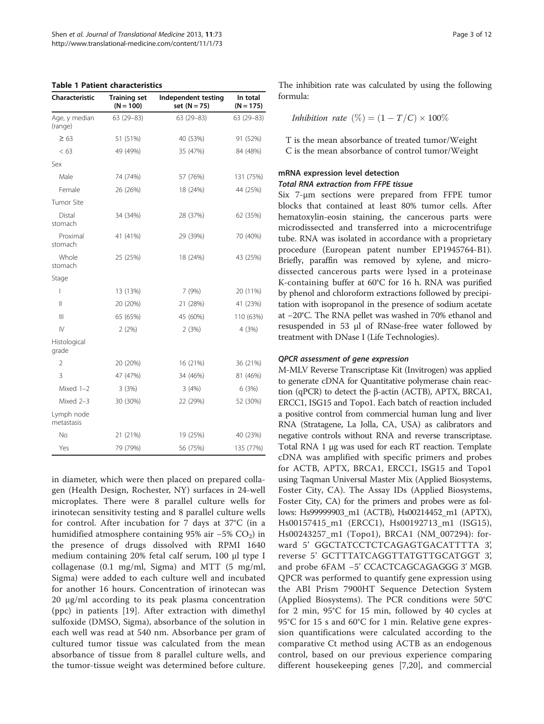<span id="page-2-0"></span>

|  | <b>Table 1 Patient characteristics</b> |
|--|----------------------------------------|
|--|----------------------------------------|

| Characteristic           | <b>Training set</b><br>$(N = 100)$ | Independent testing<br>set $(N = 75)$ | In total<br>$(N = 175)$ |
|--------------------------|------------------------------------|---------------------------------------|-------------------------|
| Age, y median<br>(range) | $63(29-83)$                        | 63 (29-83)                            | 63 (29-83)              |
| $\geq 63$                | 51 (51%)                           | 40 (53%)                              | 91 (52%)                |
| < 63                     | 49 (49%)                           | 35 (47%)                              | 84 (48%)                |
| Sex                      |                                    |                                       |                         |
| Male                     | 74 (74%)                           | 57 (76%)                              | 131 (75%)               |
| Female                   | 26 (26%)                           | 18 (24%)                              | 44 (25%)                |
| <b>Tumor Site</b>        |                                    |                                       |                         |
| Distal<br>stomach        | 34 (34%)                           | 28 (37%)                              | 62 (35%)                |
| Proximal<br>stomach      | 41 (41%)                           | 29 (39%)                              | 70 (40%)                |
| Whole<br>stomach         | 25 (25%)                           | 18 (24%)                              | 43 (25%)                |
| Stage                    |                                    |                                       |                         |
| I                        | 13 (13%)                           | 7 (9%)                                | 20 (11%)                |
| $\mathsf{II}$            | 20 (20%)                           | 21 (28%)                              | 41 (23%)                |
| $\mathbf{III}$           | 65 (65%)                           | 45 (60%)                              | 110 (63%)               |
| $\mathsf{IV}$            | 2(2%)                              | 2(3%)                                 | 4 (3%)                  |
| Histological<br>grade    |                                    |                                       |                         |
| 2                        | 20 (20%)                           | 16 (21%)                              | 36 (21%)                |
| 3                        | 47 (47%)                           | 34 (46%)                              | 81 (46%)                |
| Mixed $1-2$              | 3(3%)                              | 3(4%)                                 | 6(3%)                   |
| Mixed 2-3                | 30 (30%)                           | 22 (29%)                              | 52 (30%)                |
| Lymph node<br>metastasis |                                    |                                       |                         |
| No                       | 21 (21%)                           | 19 (25%)                              | 40 (23%)                |
| Yes                      | 79 (79%)                           | 56 (75%)                              | 135 (77%)               |

in diameter, which were then placed on prepared collagen (Health Design, Rochester, NY) surfaces in 24-well microplates. There were 8 parallel culture wells for irinotecan sensitivity testing and 8 parallel culture wells for control. After incubation for 7 days at 37°C (in a humidified atmosphere containing 95% air  $-5\%$  CO<sub>2</sub>) in the presence of drugs dissolved with RPMI 1640 medium containing 20% fetal calf serum, 100 μl type I collagenase (0.1 mg/ml, Sigma) and MTT (5 mg/ml, Sigma) were added to each culture well and incubated for another 16 hours. Concentration of irinotecan was 20 μg/ml according to its peak plasma concentration (ppc) in patients [\[19](#page-10-0)]. After extraction with dimethyl sulfoxide (DMSO, Sigma), absorbance of the solution in each well was read at 540 nm. Absorbance per gram of cultured tumor tissue was calculated from the mean absorbance of tissue from 8 parallel culture wells, and the tumor-tissue weight was determined before culture. The inhibition rate was calculated by using the following formula:

*Inhibition rate* 
$$
(\%) = (1 - T/C) \times 100\%
$$

T is the mean absorbance of treated tumor/Weight C is the mean absorbance of control tumor/Weight

## mRNA expression level detection Total RNA extraction from FFPE tissue

Six 7-μm sections were prepared from FFPE tumor blocks that contained at least 80% tumor cells. After hematoxylin-eosin staining, the cancerous parts were microdissected and transferred into a microcentrifuge tube. RNA was isolated in accordance with a proprietary procedure (European patent number EP1945764-B1). Briefly, paraffin was removed by xylene, and microdissected cancerous parts were lysed in a proteinase K-containing buffer at 60°C for 16 h. RNA was purified by phenol and chloroform extractions followed by precipitation with isopropanol in the presence of sodium acetate at −20°C. The RNA pellet was washed in 70% ethanol and resuspended in 53 μl of RNase-free water followed by treatment with DNase I (Life Technologies).

## QPCR assessment of gene expression

M-MLV Reverse Transcriptase Kit (Invitrogen) was applied to generate cDNA for Quantitative polymerase chain reaction (qPCR) to detect the β-actin (ACTB), APTX, BRCA1, ERCC1, ISG15 and Topo1. Each batch of reaction included a positive control from commercial human lung and liver RNA (Stratagene, La Jolla, CA, USA) as calibrators and negative controls without RNA and reverse transcriptase. Total RNA 1 μg was used for each RT reaction. Template cDNA was amplified with specific primers and probes for ACTB, APTX, BRCA1, ERCC1, ISG15 and Topo1 using Taqman Universal Master Mix (Applied Biosystems, Foster City, CA). The Assay IDs (Applied Biosystems, Foster City, CA) for the primers and probes were as follows: Hs99999903\_m1 (ACTB), Hs00214452\_m1 (APTX), Hs00157415\_m1 (ERCC1), Hs00192713\_m1 (ISG15), Hs00243257\_m1 (Topo1), BRCA1 (NM\_007294): forward 5' GGCTATCCTCTCAGAGTGACATTTTA 3', reverse 5' GCTTTATCAGGTTATGTTGCATGGT 3', and probe 6FAM −5' CCACTCAGCAGAGGG 3' MGB. QPCR was performed to quantify gene expression using the ABI Prism 7900HT Sequence Detection System (Applied Biosystems). The PCR conditions were 50°C for 2 min, 95°C for 15 min, followed by 40 cycles at 95°C for 15 s and 60°C for 1 min. Relative gene expression quantifications were calculated according to the comparative Ct method using ACTB as an endogenous control, based on our previous experience comparing different housekeeping genes [\[7](#page-10-0),[20\]](#page-10-0), and commercial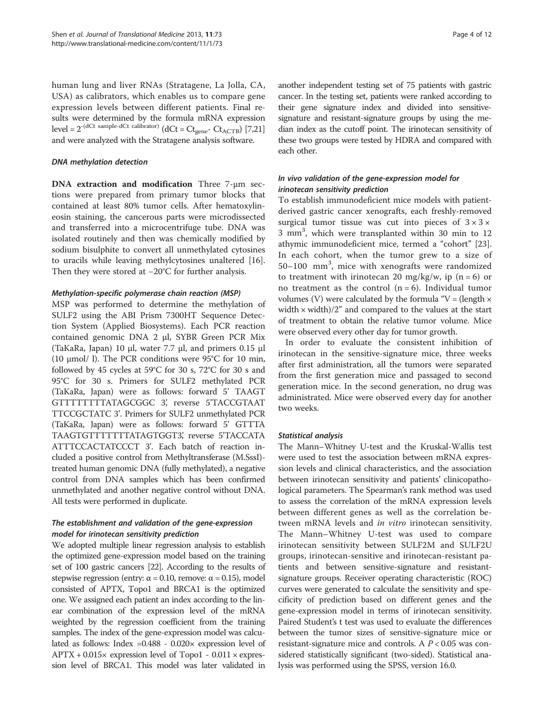human lung and liver RNAs (Stratagene, La Jolla, CA, USA) as calibrators, which enables us to compare gene expression levels between different patients. Final results were determined by the formula mRNA expression level =  $2^{-(dCt \text{ sample-dCt calibrator})}$  (dCt =  $Ct_{\text{gene}}$ -  $Ct_{\text{ACTB}}$ ) [\[7,](#page-10-0)[21](#page-11-0)] and were analyzed with the Stratagene analysis software.

### DNA methylation detection

DNA extraction and modification Three 7-μm sections were prepared from primary tumor blocks that contained at least 80% tumor cells. After hematoxylineosin staining, the cancerous parts were microdissected and transferred into a microcentrifuge tube. DNA was isolated routinely and then was chemically modified by sodium bisulphite to convert all unmethylated cytosines to uracils while leaving methylcytosines unaltered [\[16](#page-10-0)]. Then they were stored at −20°C for further analysis.

## Methylation-specific polymerase chain reaction (MSP)

MSP was performed to determine the methylation of SULF2 using the ABI Prism 7300HT Sequence Detection System (Applied Biosystems). Each PCR reaction contained genomic DNA 2 μl, SYBR Green PCR Mix (TaKaRa, Japan) 10 μl, water 7.7 μl, and primers 0.15 μl (10 μmol/ l). The PCR conditions were 95°C for 10 min, followed by 45 cycles at 59°C for 30 s, 72°C for 30 s and 95°C for 30 s. Primers for SULF2 methylated PCR (TaKaRa, Japan) were as follows: forward 5' TAAGT GTTTTTTTTATAGCGGC 3', reverse 5'TACCGTAAT TTCCGCTATC 3'. Primers for SULF2 unmethylated PCR (TaKaRa, Japan) were as follows: forward 5' GTTTA TAAGTGTTTTTTTTATAGTGGT3', reverse 5'TACCATA ATTTCCACTATCCCT 3'. Each batch of reaction included a positive control from Methyltransferase (M.SssI) treated human genomic DNA (fully methylated), a negative control from DNA samples which has been confirmed unmethylated and another negative control without DNA. All tests were performed in duplicate.

## The establishment and validation of the gene-expression model for irinotecan sensitivity prediction

We adopted multiple linear regression analysis to establish the optimized gene-expression model based on the training set of 100 gastric cancers [[22\]](#page-11-0). According to the results of stepwise regression (entry:  $\alpha$  = 0.10, remove:  $\alpha$  = 0.15), model consisted of APTX, Topo1 and BRCA1 is the optimized one. We assigned each patient an index according to the linear combination of the expression level of the mRNA weighted by the regression coefficient from the training samples. The index of the gene-expression model was calculated as follows: Index =0.488 - 0.020× expression level of  $APTX + 0.015 \times$  expression level of Topo1 - 0.011  $\times$  expression level of BRCA1. This model was later validated in another independent testing set of 75 patients with gastric cancer. In the testing set, patients were ranked according to their gene signature index and divided into sensitivesignature and resistant-signature groups by using the median index as the cutoff point. The irinotecan sensitivity of these two groups were tested by HDRA and compared with each other.

## In vivo validation of the gene-expression model for irinotecan sensitivity prediction

To establish immunodeficient mice models with patientderived gastric cancer xenografts, each freshly-removed surgical tumor tissue was cut into pieces of  $3 \times 3 \times$ 3 mm<sup>3</sup> , which were transplanted within 30 min to 12 athymic immunodeficient mice, termed a "cohort" [\[23](#page-11-0)]. In each cohort, when the tumor grew to a size of 50-100 mm<sup>3</sup>, mice with xenografts were randomized to treatment with irinotecan 20 mg/kg/w, ip  $(n = 6)$  or no treatment as the control  $(n = 6)$ . Individual tumor volumes (V) were calculated by the formula "V = (length  $\times$ width  $\times$  width)/2" and compared to the values at the start of treatment to obtain the relative tumor volume. Mice were observed every other day for tumor growth.

In order to evaluate the consistent inhibition of irinotecan in the sensitive-signature mice, three weeks after first administration, all the tumors were separated from the first generation mice and passaged to second generation mice. In the second generation, no drug was administrated. Mice were observed every day for another two weeks.

## Statistical analysis

The Mann–Whitney U-test and the Kruskal-Wallis test were used to test the association between mRNA expression levels and clinical characteristics, and the association between irinotecan sensitivity and patients' clinicopathological parameters. The Spearman's rank method was used to assess the correlation of the mRNA expression levels between different genes as well as the correlation between mRNA levels and *in vitro* irinotecan sensitivity. The Mann–Whitney U-test was used to compare irinotecan sensitivity between SULF2M and SULF2U groups, irinotecan-sensitive and irinotecan-resistant patients and between sensitive-signature and resistantsignature groups. Receiver operating characteristic (ROC) curves were generated to calculate the sensitivity and specificity of prediction based on different genes and the gene-expression model in terms of irinotecan sensitivity. Paired Student's t test was used to evaluate the differences between the tumor sizes of sensitive-signature mice or resistant-signature mice and controls. A  $P < 0.05$  was considered statistically significant (two-sided). Statistical analysis was performed using the SPSS, version 16.0.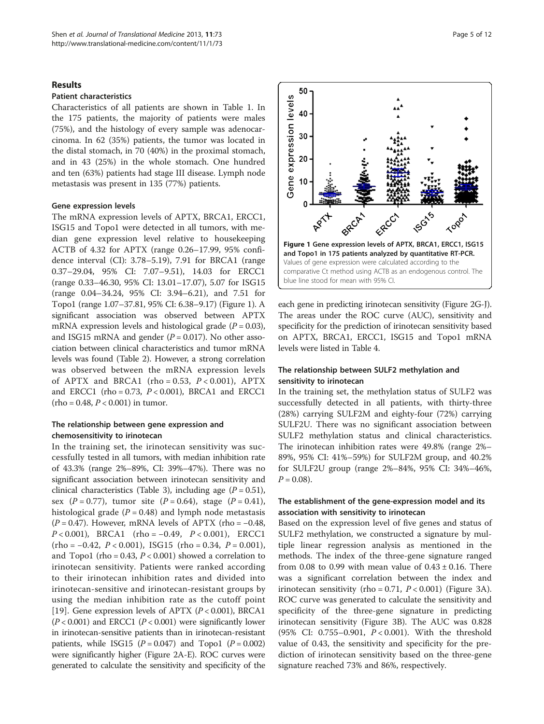## Results

## Patient characteristics

Characteristics of all patients are shown in Table [1](#page-2-0). In the 175 patients, the majority of patients were males (75%), and the histology of every sample was adenocarcinoma. In 62 (35%) patients, the tumor was located in the distal stomach, in 70 (40%) in the proximal stomach, and in 43 (25%) in the whole stomach. One hundred and ten (63%) patients had stage III disease. Lymph node metastasis was present in 135 (77%) patients.

### Gene expression levels

The mRNA expression levels of APTX, BRCA1, ERCC1, ISG15 and Topo1 were detected in all tumors, with median gene expression level relative to housekeeping ACTB of 4.32 for APTX (range 0.26–17.99, 95% confidence interval (CI): 3.78–5.19), 7.91 for BRCA1 (range 0.37–29.04, 95% CI: 7.07–9.51), 14.03 for ERCC1 (range 0.33–46.30, 95% CI: 13.01–17.07), 5.07 for ISG15 (range 0.04–34.24, 95% CI: 3.94–6.21), and 7.51 for Topo1 (range 1.07–37.81, 95% CI: 6.38–9.17) (Figure 1). A significant association was observed between APTX mRNA expression levels and histological grade  $(P = 0.03)$ , and ISG15 mRNA and gender  $(P = 0.017)$ . No other association between clinical characteristics and tumor mRNA levels was found (Table [2\)](#page-5-0). However, a strong correlation was observed between the mRNA expression levels of APTX and BRCA1 (rho = 0.53,  $P < 0.001$ ), APTX and ERCC1 (rho =  $0.73$ ,  $P < 0.001$ ), BRCA1 and ERCC1  $(ho = 0.48, P < 0.001)$  in tumor.

## The relationship between gene expression and chemosensitivity to irinotecan

In the training set, the irinotecan sensitivity was successfully tested in all tumors, with median inhibition rate of 43.3% (range 2%–89%, CI: 39%–47%). There was no significant association between irinotecan sensitivity and clinical characteristics (Table [3](#page-6-0)), including age  $(P = 0.51)$ , sex  $(P = 0.77)$ , tumor site  $(P = 0.64)$ , stage  $(P = 0.41)$ , histological grade ( $P = 0.48$ ) and lymph node metastasis  $(P = 0.47)$ . However, mRNA levels of APTX (rho = -0.48,  $P < 0.001$ ), BRCA1 (rho = −0.49,  $P < 0.001$ ), ERCC1  $(rho = -0.42, P < 0.001)$ , ISG15  $(rho = 0.34, P = 0.001)$ , and Topo1 (rho = 0.43,  $P < 0.001$ ) showed a correlation to irinotecan sensitivity. Patients were ranked according to their irinotecan inhibition rates and divided into irinotecan-sensitive and irinotecan-resistant groups by using the median inhibition rate as the cutoff point [[19](#page-10-0)]. Gene expression levels of APTX  $(P < 0.001)$ , BRCA1  $(P < 0.001)$  and ERCC1  $(P < 0.001)$  were significantly lower in irinotecan-sensitive patients than in irinotecan-resistant patients, while ISG15  $(P = 0.047)$  and Topo1  $(P = 0.002)$ were significantly higher (Figure [2A](#page-7-0)-E). ROC curves were generated to calculate the sensitivity and specificity of the



each gene in predicting irinotecan sensitivity (Figure [2G](#page-7-0)-J). The areas under the ROC curve (AUC), sensitivity and specificity for the prediction of irinotecan sensitivity based on APTX, BRCA1, ERCC1, ISG15 and Topo1 mRNA levels were listed in Table [4](#page-7-0).

## The relationship between SULF2 methylation and sensitivity to irinotecan

In the training set, the methylation status of SULF2 was successfully detected in all patients, with thirty-three (28%) carrying SULF2M and eighty-four (72%) carrying SULF2U. There was no significant association between SULF2 methylation status and clinical characteristics. The irinotecan inhibition rates were 49.8% (range 2%– 89%, 95% CI: 41%–59%) for SULF2M group, and 40.2% for SULF2U group (range 2%–84%, 95% CI: 34%–46%,  $P = 0.08$ ).

## The establishment of the gene-expression model and its association with sensitivity to irinotecan

Based on the expression level of five genes and status of SULF2 methylation, we constructed a signature by multiple linear regression analysis as mentioned in the methods. The index of the three-gene signature ranged from 0.08 to 0.99 with mean value of  $0.43 \pm 0.16$ . There was a significant correlation between the index and irinotecan sensitivity (rho = 0.71,  $P < 0.001$ ) (Figure [3](#page-8-0)A). ROC curve was generated to calculate the sensitivity and specificity of the three-gene signature in predicting irinotecan sensitivity (Figure [3B](#page-8-0)). The AUC was 0.828 (95% CI: 0.755–0.901, P < 0.001). With the threshold value of 0.43, the sensitivity and specificity for the prediction of irinotecan sensitivity based on the three-gene signature reached 73% and 86%, respectively.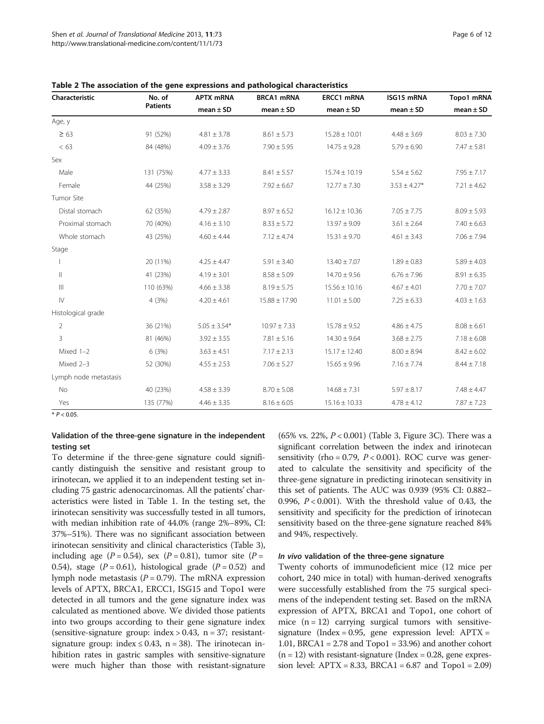| Characteristic        | No. of<br><b>Patients</b> | <b>APTX mRNA</b><br>$mean \pm SD$ | <b>BRCA1 mRNA</b><br>mean $\pm$ SD | ERCC1 mRNA<br>mean $\pm$ SD | ISG15 mRNA<br>$mean \pm SD$ | Topo1 mRNA<br>mean $\pm$ SD |
|-----------------------|---------------------------|-----------------------------------|------------------------------------|-----------------------------|-----------------------------|-----------------------------|
|                       |                           |                                   |                                    |                             |                             |                             |
| $\geq 63$             | 91 (52%)                  | $4.81 \pm 3.78$                   | $8.61 \pm 5.73$                    | $15.28 \pm 10.01$           | $4.48 \pm 3.69$             | $8.03 \pm 7.30$             |
| < 63                  | 84 (48%)                  | $4.09 \pm 3.76$                   | $7.90 \pm 5.95$                    | $14.75 \pm 9.28$            | $5.79 \pm 6.90$             | $7.47 \pm 5.81$             |
| Sex                   |                           |                                   |                                    |                             |                             |                             |
| Male                  | 131 (75%)                 | $4.77 \pm 3.33$                   | $8.41 \pm 5.57$                    | $15.74 \pm 10.19$           | $5.54 \pm 5.62$             | $7.95 \pm 7.17$             |
| Female                | 44 (25%)                  | $3.58 \pm 3.29$                   | $7.92 \pm 6.67$                    | $12.77 \pm 7.30$            | $3.53 \pm 4.27*$            | $7.21 \pm 4.62$             |
| Tumor Site            |                           |                                   |                                    |                             |                             |                             |
| Distal stomach        | 62 (35%)                  | $4.79 \pm 2.87$                   | $8.97 \pm 6.52$                    | $16.12 \pm 10.36$           | $7.05 \pm 7.75$             | $8.09 \pm 5.93$             |
| Proximal stomach      | 70 (40%)                  | $4.16 \pm 3.10$                   | $8.33 \pm 5.72$                    | $13.97 \pm 9.09$            | $3.61 \pm 2.64$             | $7.40 \pm 6.63$             |
| Whole stomach         | 43 (25%)                  | $4.60 \pm 4.44$                   | $7.12 \pm 4.74$                    | $15.31 \pm 9.70$            | $4.61 \pm 3.43$             | $7.06 \pm 7.94$             |
| Stage                 |                           |                                   |                                    |                             |                             |                             |
|                       | 20 (11%)                  | $4.25 \pm 4.47$                   | $5.91 \pm 3.40$                    | $13.40 \pm 7.07$            | $1.89 \pm 0.83$             | $5.89 \pm 4.03$             |
| Ш.                    | 41 (23%)                  | $4.19 \pm 3.01$                   | $8.58 \pm 5.09$                    | $14.70 \pm 9.56$            | $6.76 \pm 7.96$             | $8.91 \pm 6.35$             |
| $\mathop{\rm III}$    | 110 (63%)                 | $4.66 \pm 3.38$                   | $8.19 \pm 5.75$                    | $15.56 \pm 10.16$           | $4.67 \pm 4.01$             | $7.70 \pm 7.07$             |
| $\mathsf{IV}$         | 4(3%)                     | $4.20 \pm 4.61$                   | $15.88 \pm 17.90$                  | $11.01 \pm 5.00$            | $7.25 \pm 6.33$             | $4.03 \pm 1.63$             |
| Histological grade    |                           |                                   |                                    |                             |                             |                             |
| $\overline{2}$        | 36 (21%)                  | $5.05 \pm 3.54*$                  | $10.97 \pm 7.33$                   | $15.78 \pm 9.52$            | $4.86 \pm 4.75$             | $8.08 \pm 6.61$             |
| 3                     | 81 (46%)                  | $3.92 \pm 3.55$                   | $7.81 \pm 5.16$                    | $14.30 \pm 9.64$            | $3.68 \pm 2.75$             | $7.18 \pm 6.08$             |
| Mixed 1-2             | 6(3%)                     | $3.63 \pm 4.51$                   | $7.17 \pm 2.13$                    | $15.17 \pm 12.40$           | $8.00 \pm 8.94$             | $8.42 \pm 6.02$             |
| Mixed 2-3             | 52 (30%)                  | $4.55 \pm 2.53$                   | $7.06 \pm 5.27$                    | $15.65 \pm 9.96$            | $7.16 \pm 7.74$             | $8.44 \pm 7.18$             |
| Lymph node metastasis |                           |                                   |                                    |                             |                             |                             |
| No                    | 40 (23%)                  | $4.58 \pm 3.39$                   | $8.70 \pm 5.08$                    | $14.68 \pm 7.31$            | $5.97 \pm 8.17$             | $7.48 \pm 4.47$             |
| Yes                   | 135 (77%)                 | $4.46 \pm 3.35$                   | $8.16 \pm 6.05$                    | $15.16 \pm 10.33$           | $4.78 \pm 4.12$             | $7.87 \pm 7.23$             |

<span id="page-5-0"></span>Table 2 The association of the gene expressions and pathological characteristics

 $*$   $P < 0.05$ .

## Validation of the three-gene signature in the independent testing set

To determine if the three-gene signature could significantly distinguish the sensitive and resistant group to irinotecan, we applied it to an independent testing set including 75 gastric adenocarcinomas. All the patients' characteristics were listed in Table [1.](#page-2-0) In the testing set, the irinotecan sensitivity was successfully tested in all tumors, with median inhibition rate of 44.0% (range 2%–89%, CI: 37%–51%). There was no significant association between irinotecan sensitivity and clinical characteristics (Table [3](#page-6-0)), including age ( $P = 0.54$ ), sex ( $P = 0.81$ ), tumor site ( $P =$ 0.54), stage  $(P = 0.61)$ , histological grade  $(P = 0.52)$  and lymph node metastasis ( $P = 0.79$ ). The mRNA expression levels of APTX, BRCA1, ERCC1, ISG15 and Topo1 were detected in all tumors and the gene signature index was calculated as mentioned above. We divided those patients into two groups according to their gene signature index (sensitive-signature group: index  $> 0.43$ , n = 37; resistantsignature group: index  $\leq$  0.43, n = 38). The irinotecan inhibition rates in gastric samples with sensitive-signature were much higher than those with resistant-signature (65% vs. 22%,  $P < 0.001$ ) (Table [3,](#page-6-0) Figure [3C](#page-8-0)). There was a significant correlation between the index and irinotecan sensitivity (rho = 0.79,  $P < 0.001$ ). ROC curve was generated to calculate the sensitivity and specificity of the three-gene signature in predicting irinotecan sensitivity in this set of patients. The AUC was 0.939 (95% CI: 0.882– 0.996,  $P < 0.001$ ). With the threshold value of 0.43, the sensitivity and specificity for the prediction of irinotecan sensitivity based on the three-gene signature reached 84% and 94%, respectively.

### In vivo validation of the three-gene signature

Twenty cohorts of immunodeficient mice (12 mice per cohort, 240 mice in total) with human-derived xenografts were successfully established from the 75 surgical specimens of the independent testing set. Based on the mRNA expression of APTX, BRCA1 and Topo1, one cohort of mice  $(n = 12)$  carrying surgical tumors with sensitivesignature (Index =  $0.95$ , gene expression level:  $APTX =$ 1.01, BRCA1 = 2.78 and Topo1 = 33.96) and another cohort  $(n = 12)$  with resistant-signature (Index = 0.28, gene expression level:  $APTX = 8.33$ ,  $BRCA1 = 6.87$  and  $Topo1 = 2.09$ )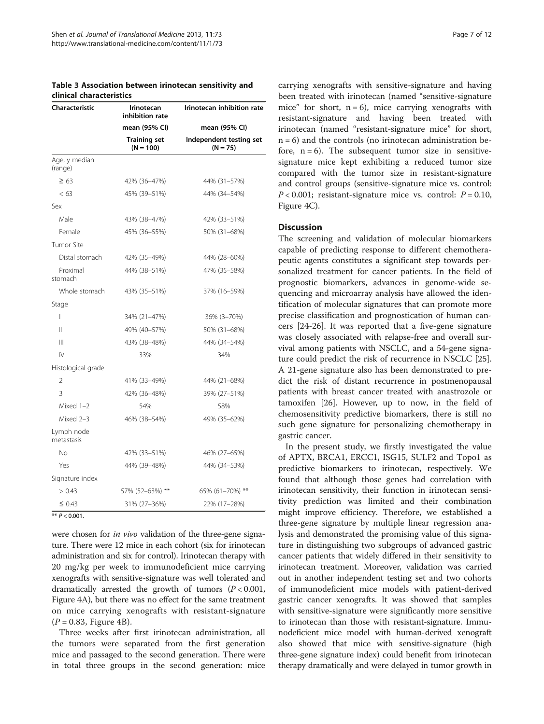<span id="page-6-0"></span>

| Table 3 Association between irinotecan sensitivity and |  |  |
|--------------------------------------------------------|--|--|
| clinical characteristics                               |  |  |

| Characteristic           | <b>Irinotecan</b><br>inhibition rate | Irinotecan inhibition rate            |  |  |
|--------------------------|--------------------------------------|---------------------------------------|--|--|
|                          | mean (95% CI)                        | mean (95% CI)                         |  |  |
|                          | <b>Training set</b><br>$(N = 100)$   | Independent testing set<br>$(N = 75)$ |  |  |
| Age, y median<br>(range) |                                      |                                       |  |  |
| $\geq 63$                | 42% (36-47%)                         | 44% (31-57%)                          |  |  |
| < 63                     | 45% (39-51%)                         | 44% (34-54%)                          |  |  |
| Sex                      |                                      |                                       |  |  |
| Male                     | 43% (38-47%)                         | 42% (33-51%)                          |  |  |
| Female                   | 45% (36-55%)                         | 50% (31-68%)                          |  |  |
| Tumor Site               |                                      |                                       |  |  |
| Distal stomach           | 42% (35-49%)                         | 44% (28-60%)                          |  |  |
| Proximal<br>stomach      | 44% (38-51%)                         | 47% (35-58%)                          |  |  |
| Whole stomach            | 43% (35-51%)                         | 37% (16-59%)                          |  |  |
| Stage                    |                                      |                                       |  |  |
| $\overline{1}$           | 34% (21-47%)                         | 36% (3-70%)                           |  |  |
| $\mathsf{II}$            | 49% (40-57%)                         | 50% (31-68%)                          |  |  |
| $\mathbb{H}$             | 43% (38-48%)                         | 44% (34-54%)                          |  |  |
| $\mathsf{IV}$            | 33%                                  | 34%                                   |  |  |
| Histological grade       |                                      |                                       |  |  |
| $\overline{2}$           | 41% (33-49%)                         | 44% (21-68%)                          |  |  |
| 3                        | 42% (36-48%)                         | 39% (27-51%)                          |  |  |
| Mixed 1-2                | 54%                                  | 58%                                   |  |  |
| Mixed 2-3                | 46% (38-54%)                         | 49% (35-62%)                          |  |  |
| Lymph node<br>metastasis |                                      |                                       |  |  |
| No                       | 42% (33-51%)                         | 46% (27-65%)                          |  |  |
| Yes                      | 44% (39-48%)                         | 44% (34-53%)                          |  |  |
| Signature index          |                                      |                                       |  |  |
| > 0.43                   | 57% (52-63%) **                      | 65% (61-70%) **                       |  |  |
| $\leq 0.43$              | 31% (27-36%)                         | 22% (17-28%)                          |  |  |

were chosen for *in vivo* validation of the three-gene signature. There were 12 mice in each cohort (six for irinotecan administration and six for control). Irinotecan therapy with 20 mg/kg per week to immunodeficient mice carrying xenografts with sensitive-signature was well tolerated and dramatically arrested the growth of tumors  $(P < 0.001$ , Figure [4](#page-9-0)A), but there was no effect for the same treatment on mice carrying xenografts with resistant-signature  $(P = 0.83,$  Figure [4](#page-9-0)B).

Three weeks after first irinotecan administration, all the tumors were separated from the first generation mice and passaged to the second generation. There were in total three groups in the second generation: mice carrying xenografts with sensitive-signature and having been treated with irinotecan (named "sensitive-signature mice" for short,  $n = 6$ ), mice carrying xenografts with resistant-signature and having been treated with irinotecan (named "resistant-signature mice" for short,  $n = 6$ ) and the controls (no irinotecan administration before,  $n = 6$ ). The subsequent tumor size in sensitivesignature mice kept exhibiting a reduced tumor size compared with the tumor size in resistant-signature and control groups (sensitive-signature mice vs. control:  $P < 0.001$ ; resistant-signature mice vs. control:  $P = 0.10$ , Figure [4](#page-9-0)C).

## **Discussion**

The screening and validation of molecular biomarkers capable of predicting response to different chemotherapeutic agents constitutes a significant step towards personalized treatment for cancer patients. In the field of prognostic biomarkers, advances in genome-wide sequencing and microarray analysis have allowed the identification of molecular signatures that can promote more precise classification and prognostication of human cancers [\[24](#page-11-0)-[26\]](#page-11-0). It was reported that a five-gene signature was closely associated with relapse-free and overall survival among patients with NSCLC, and a 54-gene signature could predict the risk of recurrence in NSCLC [\[25](#page-11-0)]. A 21-gene signature also has been demonstrated to predict the risk of distant recurrence in postmenopausal patients with breast cancer treated with anastrozole or tamoxifen [[26](#page-11-0)]. However, up to now, in the field of chemosensitivity predictive biomarkers, there is still no such gene signature for personalizing chemotherapy in gastric cancer.

In the present study, we firstly investigated the value of APTX, BRCA1, ERCC1, ISG15, SULF2 and Topo1 as predictive biomarkers to irinotecan, respectively. We found that although those genes had correlation with irinotecan sensitivity, their function in irinotecan sensitivity prediction was limited and their combination might improve efficiency. Therefore, we established a three-gene signature by multiple linear regression analysis and demonstrated the promising value of this signature in distinguishing two subgroups of advanced gastric cancer patients that widely differed in their sensitivity to irinotecan treatment. Moreover, validation was carried out in another independent testing set and two cohorts of immunodeficient mice models with patient-derived gastric cancer xenografts. It was showed that samples with sensitive-signature were significantly more sensitive to irinotecan than those with resistant-signature. Immunodeficient mice model with human-derived xenograft also showed that mice with sensitive-signature (high three-gene signature index) could benefit from irinotecan therapy dramatically and were delayed in tumor growth in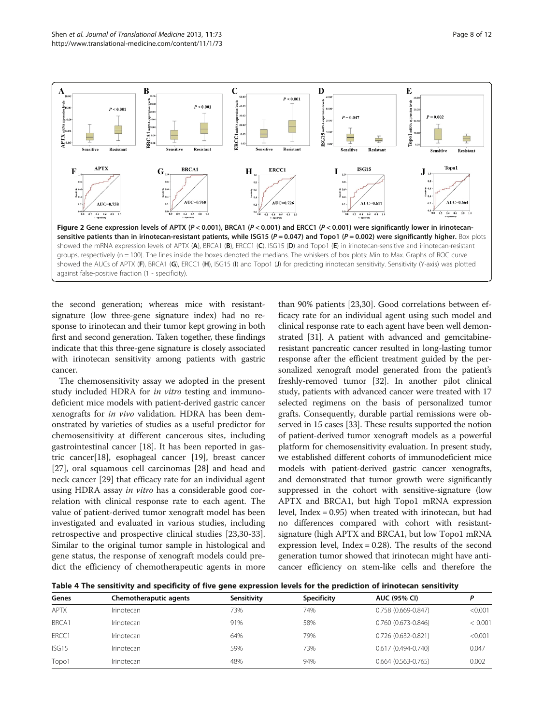<span id="page-7-0"></span>

the second generation; whereas mice with resistantsignature (low three-gene signature index) had no response to irinotecan and their tumor kept growing in both first and second generation. Taken together, these findings indicate that this three-gene signature is closely associated with irinotecan sensitivity among patients with gastric cancer.

The chemosensitivity assay we adopted in the present study included HDRA for in vitro testing and immunodeficient mice models with patient-derived gastric cancer xenografts for in vivo validation. HDRA has been demonstrated by varieties of studies as a useful predictor for chemosensitivity at different cancerous sites, including gastrointestinal cancer [[18\]](#page-10-0). It has been reported in gastric cancer[\[18\]](#page-10-0), esophageal cancer [[19](#page-10-0)], breast cancer [[27\]](#page-11-0), oral squamous cell carcinomas [[28\]](#page-11-0) and head and neck cancer [[29](#page-11-0)] that efficacy rate for an individual agent using HDRA assay in vitro has a considerable good correlation with clinical response rate to each agent. The value of patient-derived tumor xenograft model has been investigated and evaluated in various studies, including retrospective and prospective clinical studies [\[23,30-33](#page-11-0)]. Similar to the original tumor sample in histological and gene status, the response of xenograft models could predict the efficiency of chemotherapeutic agents in more

than 90% patients [\[23,30\]](#page-11-0). Good correlations between efficacy rate for an individual agent using such model and clinical response rate to each agent have been well demonstrated [[31](#page-11-0)]. A patient with advanced and gemcitabineresistant pancreatic cancer resulted in long-lasting tumor response after the efficient treatment guided by the personalized xenograft model generated from the patient's freshly-removed tumor [\[32\]](#page-11-0). In another pilot clinical study, patients with advanced cancer were treated with 17 selected regimens on the basis of personalized tumor grafts. Consequently, durable partial remissions were observed in 15 cases [[33](#page-11-0)]. These results supported the notion of patient-derived tumor xenograft models as a powerful platform for chemosensitivity evaluation. In present study, we established different cohorts of immunodeficient mice models with patient-derived gastric cancer xenografts, and demonstrated that tumor growth were significantly suppressed in the cohort with sensitive-signature (low APTX and BRCA1, but high Topo1 mRNA expression level, Index = 0.95) when treated with irinotecan, but had no differences compared with cohort with resistantsignature (high APTX and BRCA1, but low Topo1 mRNA expression level, Index = 0.28). The results of the second generation tumor showed that irinotecan might have anticancer efficiency on stem-like cells and therefore the

Table 4 The sensitivity and specificity of five gene expression levels for the prediction of irinotecan sensitivity

| Genes       | Chemotheraputic agents | Sensitivity | <b>Specificity</b> | AUC (95% CI)           |         |
|-------------|------------------------|-------------|--------------------|------------------------|---------|
| <b>APTX</b> | Irinotecan             | 73%         | 74%                | $0.758(0.669 - 0.847)$ | < 0.001 |
| BRCA1       | Irinotecan             | 91%         | 58%                | $0.760(0.673 - 0.846)$ | < 0.001 |
| ERCC1       | Irinotecan             | 64%         | 79%                | 0.726 (0.632-0.821)    | < 0.001 |
| ISG15       | Irinotecan             | 59%         | 73%                | $0.617(0.494 - 0.740)$ | 0.047   |
| Topo1       | Irinotecan             | 48%         | 94%                | $0.664(0.563 - 0.765)$ | 0.002   |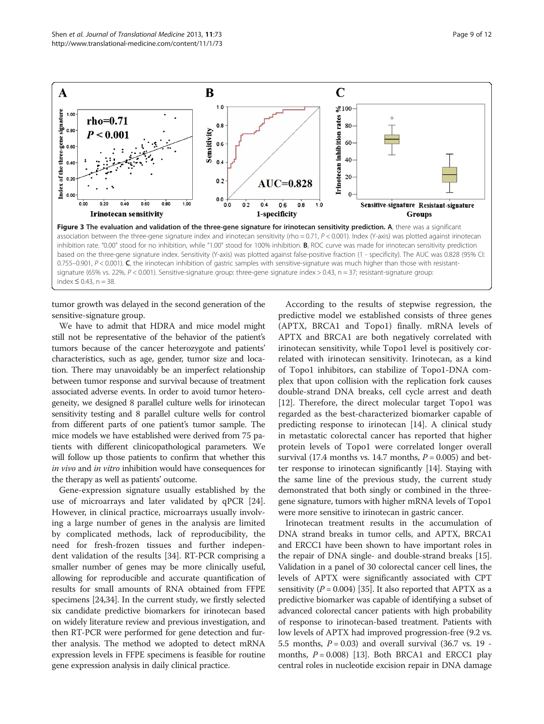<span id="page-8-0"></span>

index ≤ 0.43, n = 38.

tumor growth was delayed in the second generation of the sensitive-signature group.

We have to admit that HDRA and mice model might still not be representative of the behavior of the patient's tumors because of the cancer heterozygote and patients' characteristics, such as age, gender, tumor size and location. There may unavoidably be an imperfect relationship between tumor response and survival because of treatment associated adverse events. In order to avoid tumor heterogeneity, we designed 8 parallel culture wells for irinotecan sensitivity testing and 8 parallel culture wells for control from different parts of one patient's tumor sample. The mice models we have established were derived from 75 patients with different clinicopathological parameters. We will follow up those patients to confirm that whether this in vivo and in vitro inhibition would have consequences for the therapy as well as patients' outcome.

Gene-expression signature usually established by the use of microarrays and later validated by qPCR [\[24](#page-11-0)]. However, in clinical practice, microarrays usually involving a large number of genes in the analysis are limited by complicated methods, lack of reproducibility, the need for fresh-frozen tissues and further independent validation of the results [\[34](#page-11-0)]. RT-PCR comprising a smaller number of genes may be more clinically useful, allowing for reproducible and accurate quantification of results for small amounts of RNA obtained from FFPE specimens [\[24,34](#page-11-0)]. In the current study, we firstly selected six candidate predictive biomarkers for irinotecan based on widely literature review and previous investigation, and then RT-PCR were performed for gene detection and further analysis. The method we adopted to detect mRNA expression levels in FFPE specimens is feasible for routine gene expression analysis in daily clinical practice.

According to the results of stepwise regression, the predictive model we established consists of three genes (APTX, BRCA1 and Topo1) finally. mRNA levels of APTX and BRCA1 are both negatively correlated with irinotecan sensitivity, while Topo1 level is positively correlated with irinotecan sensitivity. Irinotecan, as a kind of Topo1 inhibitors, can stabilize of Topo1-DNA complex that upon collision with the replication fork causes double-strand DNA breaks, cell cycle arrest and death [[12\]](#page-10-0). Therefore, the direct molecular target Topo1 was regarded as the best-characterized biomarker capable of predicting response to irinotecan [\[14](#page-10-0)]. A clinical study in metastatic colorectal cancer has reported that higher protein levels of Topo1 were correlated longer overall survival (17.4 months vs. 14.7 months,  $P = 0.005$ ) and better response to irinotecan significantly [\[14](#page-10-0)]. Staying with the same line of the previous study, the current study demonstrated that both singly or combined in the threegene signature, tumors with higher mRNA levels of Topo1 were more sensitive to irinotecan in gastric cancer.

Irinotecan treatment results in the accumulation of DNA strand breaks in tumor cells, and APTX, BRCA1 and ERCC1 have been shown to have important roles in the repair of DNA single- and double-strand breaks [[15](#page-10-0)]. Validation in a panel of 30 colorectal cancer cell lines, the levels of APTX were significantly associated with CPT sensitivity ( $P = 0.004$ ) [\[35\]](#page-11-0). It also reported that APTX as a predictive biomarker was capable of identifying a subset of advanced colorectal cancer patients with high probability of response to irinotecan-based treatment. Patients with low levels of APTX had improved progression-free (9.2 vs. 5.5 months,  $P = 0.03$ ) and overall survival (36.7 vs. 19 months,  $P = 0.008$ ) [[13](#page-10-0)]. Both BRCA1 and ERCC1 play central roles in nucleotide excision repair in DNA damage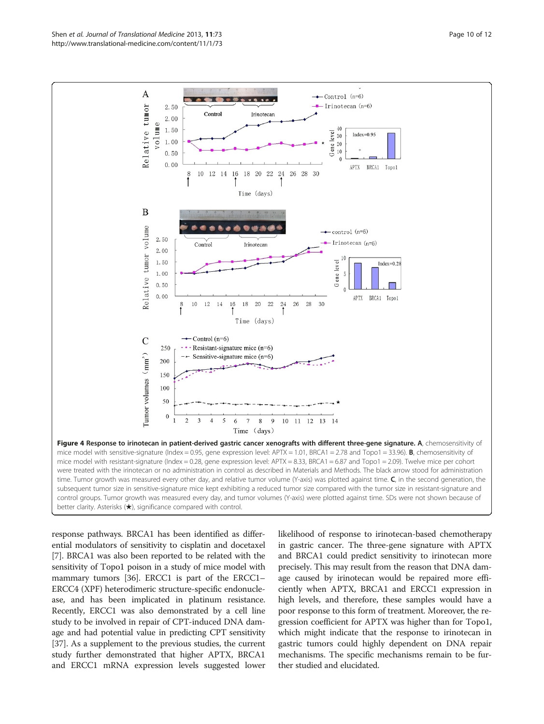<span id="page-9-0"></span>

response pathways. BRCA1 has been identified as differential modulators of sensitivity to cisplatin and docetaxel [[7\]](#page-10-0). BRCA1 was also been reported to be related with the sensitivity of Topo1 poison in a study of mice model with mammary tumors [\[36\]](#page-11-0). ERCC1 is part of the ERCC1– ERCC4 (XPF) heterodimeric structure-specific endonuclease, and has been implicated in platinum resistance. Recently, ERCC1 was also demonstrated by a cell line study to be involved in repair of CPT-induced DNA damage and had potential value in predicting CPT sensitivity [[37](#page-11-0)]. As a supplement to the previous studies, the current study further demonstrated that higher APTX, BRCA1 and ERCC1 mRNA expression levels suggested lower likelihood of response to irinotecan-based chemotherapy in gastric cancer. The three-gene signature with APTX and BRCA1 could predict sensitivity to irinotecan more precisely. This may result from the reason that DNA damage caused by irinotecan would be repaired more efficiently when APTX, BRCA1 and ERCC1 expression in high levels, and therefore, these samples would have a poor response to this form of treatment. Moreover, the regression coefficient for APTX was higher than for Topo1, which might indicate that the response to irinotecan in gastric tumors could highly dependent on DNA repair mechanisms. The specific mechanisms remain to be further studied and elucidated.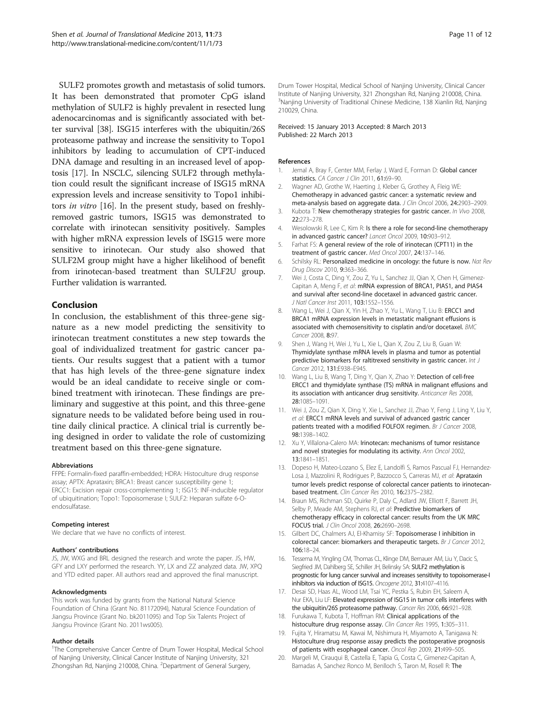<span id="page-10-0"></span>SULF2 promotes growth and metastasis of solid tumors. It has been demonstrated that promoter CpG island methylation of SULF2 is highly prevalent in resected lung adenocarcinomas and is significantly associated with better survival [\[38](#page-11-0)]. ISG15 interferes with the ubiquitin/26S proteasome pathway and increase the sensitivity to Topo1 inhibitors by leading to accumulation of CPT-induced DNA damage and resulting in an increased level of apoptosis [17]. In NSCLC, silencing SULF2 through methylation could result the significant increase of ISG15 mRNA expression levels and increase sensitivity to Topo1 inhibitors in vitro [16]. In the present study, based on freshlyremoved gastric tumors, ISG15 was demonstrated to correlate with irinotecan sensitivity positively. Samples with higher mRNA expression levels of ISG15 were more sensitive to irinotecan. Our study also showed that SULF2M group might have a higher likelihood of benefit from irinotecan-based treatment than SULF2U group. Further validation is warranted.

## Conclusion

In conclusion, the establishment of this three-gene signature as a new model predicting the sensitivity to irinotecan treatment constitutes a new step towards the goal of individualized treatment for gastric cancer patients. Our results suggest that a patient with a tumor that has high levels of the three-gene signature index would be an ideal candidate to receive single or combined treatment with irinotecan. These findings are preliminary and suggestive at this point, and this three-gene signature needs to be validated before being used in routine daily clinical practice. A clinical trial is currently being designed in order to validate the role of customizing treatment based on this three-gene signature.

#### Abbreviations

FFPE: Formalin-fixed paraffin-embedded; HDRA: Histoculture drug response assay; APTX: Aprataxin; BRCA1: Breast cancer susceptibility gene 1; ERCC1: Excision repair cross-complementing 1; ISG15: INF-inducible regulator of ubiquitination; Topo1: Topoisomerase I; SULF2: Heparan sulfate 6-Oendosulfatase.

#### Competing interest

We declare that we have no conflicts of interest.

#### Authors' contributions

JS, JW, WXG and BRL designed the research and wrote the paper. JS, HW, GFY and LXY performed the research. YY, LX and ZZ analyzed data. JW, XPQ and YTD edited paper. All authors read and approved the final manuscript.

#### Acknowledgments

This work was funded by grants from the National Natural Science Foundation of China (Grant No. 81172094), Natural Science Foundation of Jiangsu Province (Grant No. bk2011095) and Top Six Talents Project of Jiangsu Province (Grant No. 2011ws005).

#### Author details

<sup>1</sup>The Comprehensive Cancer Centre of Drum Tower Hospital, Medical School of Nanjing University, Clinical Cancer Institute of Nanjing University, 321 Zhongshan Rd, Nanjing 210008, China. <sup>2</sup>Department of General Surgery,

Drum Tower Hospital, Medical School of Nanjing University, Clinical Cancer Institute of Nanjing University, 321 Zhongshan Rd, Nanjing 210008, China. <sup>3</sup>Nanjing University of Traditional Chinese Medicine, 138 Xianlin Rd, Nanjing 210029, China.

#### Received: 15 January 2013 Accepted: 8 March 2013 Published: 22 March 2013

#### References

- 1. Jemal A, Bray F, Center MM, Ferlay J, Ward E, Forman D: Global cancer statistics. CA Cancer J Clin 2011, 61:69-90.
- 2. Wagner AD, Grothe W, Haerting J, Kleber G, Grothey A, Fleig WE: Chemotherapy in advanced gastric cancer: a systematic review and meta-analysis based on aggregate data. J Clin Oncol 2006, 24:2903–2909.
- 3. Kubota T: New chemotherapy strategies for gastric cancer. In Vivo 2008, 22:273–278.
- 4. Wesolowski R, Lee C, Kim R: Is there a role for second-line chemotherapy in advanced gastric cancer? Lancet Oncol 2009, 10:903–912.
- 5. Farhat FS: A general review of the role of irinotecan (CPT11) in the treatment of gastric cancer. Med Oncol 2007, 24:137–146.
- 6. Schilsky RL: Personalized medicine in oncology: the future is now. Nat Rev Drug Discov 2010, 9:363-366.
- 7. Wei J, Costa C, Ding Y, Zou Z, Yu L, Sanchez JJ, Qian X, Chen H, Gimenez-Capitan A, Meng F, et al: mRNA expression of BRCA1, PIAS1, and PIAS4 and survival after second-line docetaxel in advanced gastric cancer. J Natl Cancer Inst 2011, 103:1552–1556.
- 8. Wang L, Wei J, Qian X, Yin H, Zhao Y, Yu L, Wang T, Liu B: ERCC1 and BRCA1 mRNA expression levels in metastatic malignant effusions is associated with chemosensitivity to cisplatin and/or docetaxel. BMC Cancer 2008, 8:97.
- 9. Shen J, Wang H, Wei J, Yu L, Xie L, Qian X, Zou Z, Liu B, Guan W: Thymidylate synthase mRNA levels in plasma and tumor as potential predictive biomarkers for raltitrexed sensitivity in gastric cancer. Int J Cancer 2012, 131:E938–E945.
- 10. Wang L, Liu B, Wang T, Ding Y, Qian X, Zhao Y: Detection of cell-free ERCC1 and thymidylate synthase (TS) mRNA in malignant effusions and its association with anticancer drug sensitivity. Anticancer Res 2008, 28:1085–1091.
- 11. Wei J, Zou Z, Qian X, Ding Y, Xie L, Sanchez JJ, Zhao Y, Feng J, Ling Y, Liu Y, et al: ERCC1 mRNA levels and survival of advanced gastric cancer patients treated with a modified FOLFOX regimen. Br J Cancer 2008, 98:1398–1402.
- 12. Xu Y, Villalona-Calero MA: Irinotecan: mechanisms of tumor resistance and novel strategies for modulating its activity. Ann Oncol 2002, 13:1841–1851.
- 13. Dopeso H, Mateo-Lozano S, Elez E, Landolfi S, Ramos Pascual FJ, Hernandez-Losa J, Mazzolini R, Rodrigues P, Bazzocco S, Carreras MJ, et al: Aprataxin tumor levels predict response of colorectal cancer patients to irinotecanbased treatment. Clin Cancer Res 2010, 16:2375–2382.
- 14. Braun MS, Richman SD, Quirke P, Daly C, Adlard JW, Elliott F, Barrett JH, Selby P, Meade AM, Stephens RJ, et al: Predictive biomarkers of chemotherapy efficacy in colorectal cancer: results from the UK MRC FOCUS trial. J Clin Oncol 2008, 26:2690–2698.
- 15. Gilbert DC, Chalmers AJ, El-Khamisy SF: Topoisomerase I inhibition in colorectal cancer: biomarkers and therapeutic targets. Br J Cancer 2012, 106:18–24.
- 16. Tessema M, Yingling CM, Thomas CL, Klinge DM, Bernauer AM, Liu Y, Dacic S, Siegfried JM, Dahlberg SE, Schiller JH, Belinsky SA: SULF2 methylation is prognostic for lung cancer survival and increases sensitivity to topoisomerase-I inhibitors via induction of ISG15. Oncogene 2012, 31:4107-4116.
- 17. Desai SD, Haas AL, Wood LM, Tsai YC, Pestka S, Rubin EH, Saleem A, Nur EKA, Liu LF: Elevated expression of ISG15 in tumor cells interferes with the ubiquitin/26S proteasome pathway. Cancer Res 2006, 66:921–928.
- 18. Furukawa T, Kubota T, Hoffman RM: Clinical applications of the histoculture drug response assay. Clin Cancer Res 1995, 1:305-311.
- 19. Fujita Y, Hiramatsu M, Kawai M, Nishimura H, Miyamoto A, Tanigawa N: Histoculture drug response assay predicts the postoperative prognosis of patients with esophageal cancer. Oncol Rep 2009, 21:499–505.
- 20. Margeli M, Cirauqui B, Castella E, Tapia G, Costa C, Gimenez-Capitan A, Barnadas A, Sanchez Ronco M, Benlloch S, Taron M, Rosell R: The